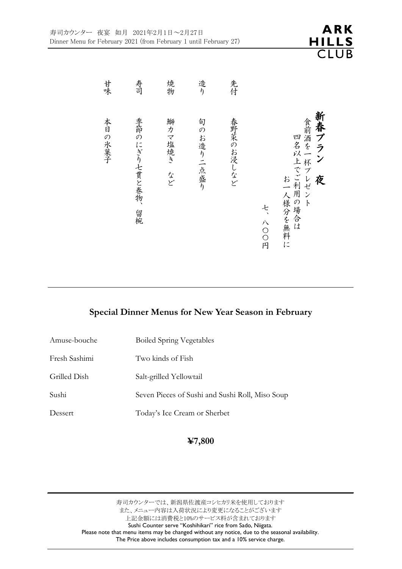

**ARK** 

**HILLS CLUB** 

# **Special Dinner Menus for New Year Season in February**

| <b>Boiled Spring Vegetables</b>                 |
|-------------------------------------------------|
| Two kinds of Fish                               |
| Salt-grilled Yellowtail                         |
| Seven Pieces of Sushi and Sushi Roll, Miso Soup |
| Today's Ice Cream or Sherbet                    |
|                                                 |

### **¥7,800**

寿司カウンターでは、新潟県佐渡産コシヒカリ米を使用しております また、メニュー内容は入荷状況により変更になることがございます 上記金額には消費税と10%のサービス料が含まれております Sushi Counter serve "Koshihikari" rice from Sado, Niigata. Please note that menu items may be changed without any notice, due to the seasonal availability. The Price above includes consumption tax and a 10% service charge.